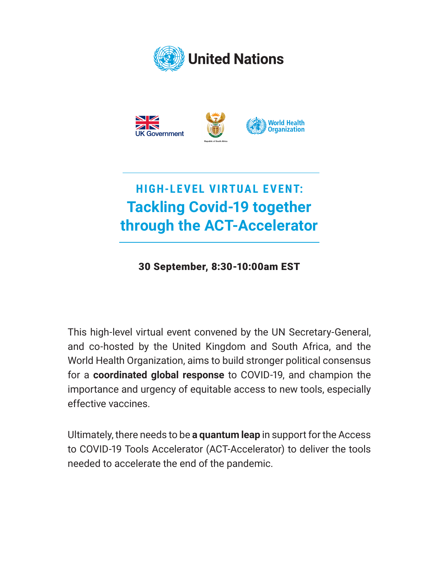



## **HIGH-LEVEL VIRTUAL EVENT: Tackling Covid-19 together through the ACT-Accelerator**

30 September, 8:30-10:00am EST

This high-level virtual event convened by the UN Secretary-General, and co-hosted by the United Kingdom and South Africa, and the World Health Organization, aims to build stronger political consensus for a **coordinated global response** to COVID-19, and champion the importance and urgency of equitable access to new tools, especially effective vaccines.

Ultimately, there needs to be **a quantum leap** in support for the Access to COVID-19 Tools Accelerator (ACT-Accelerator) to deliver the tools needed to accelerate the end of the pandemic.